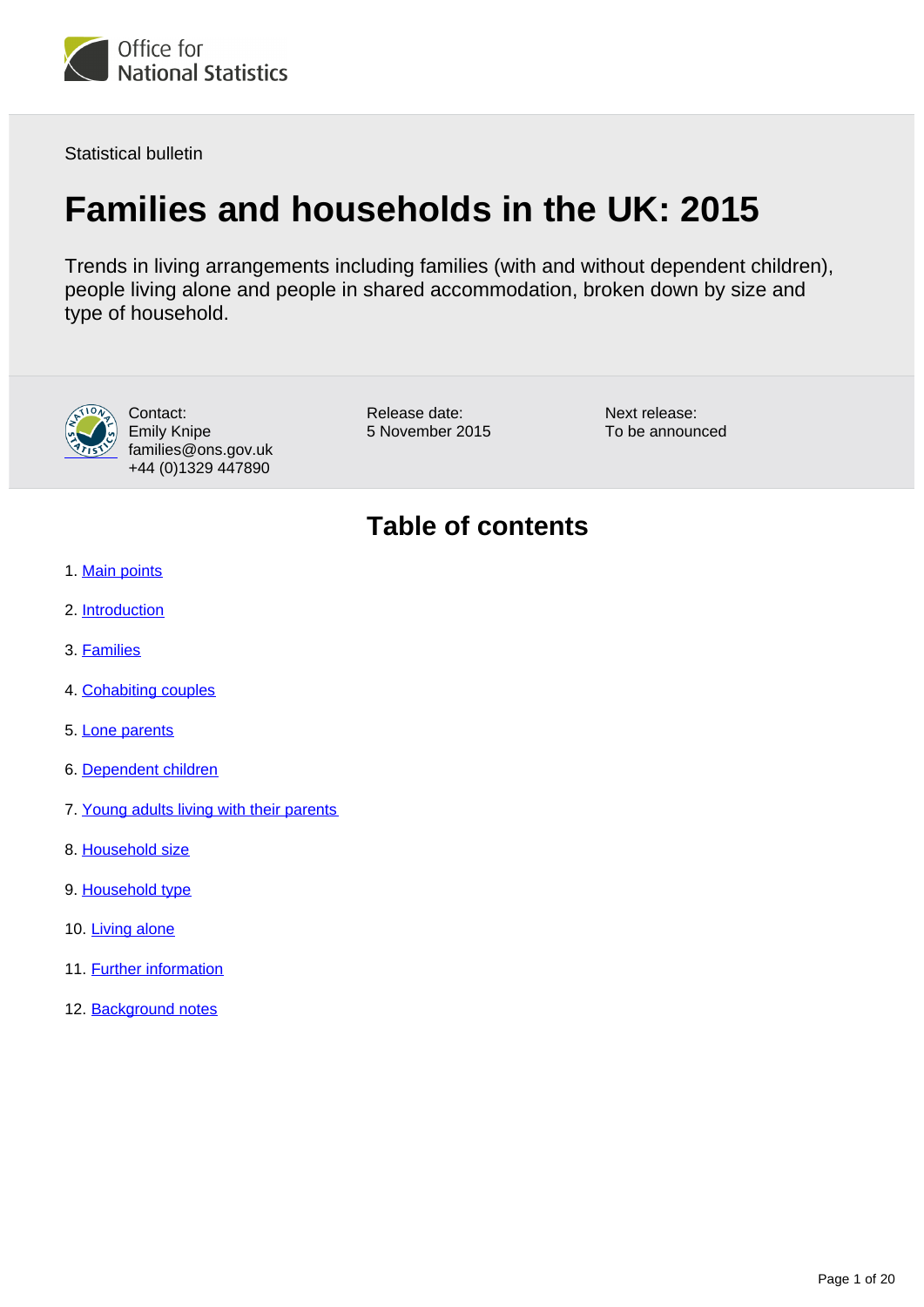

Statistical bulletin

# **Families and households in the UK: 2015**

Trends in living arrangements including families (with and without dependent children), people living alone and people in shared accommodation, broken down by size and type of household.



Contact: Emily Knipe families@ons.gov.uk +44 (0)1329 447890

Release date: 5 November 2015 Next release: To be announced

### **Table of contents**

- 1. [Main points](#page-1-0)
- 2. [Introduction](#page-1-1)
- 3. [Families](#page-3-0)
- 4. [Cohabiting couples](#page-6-0)
- 5. [Lone parents](#page-7-0)
- 6. [Dependent children](#page-8-0)
- 7. [Young adults living with their parents](#page-11-0)
- 8. [Household size](#page-13-0)
- 9. [Household type](#page-14-0)
- 10. [Living alone](#page-16-0)
- 11. Further information
- 12. Background notes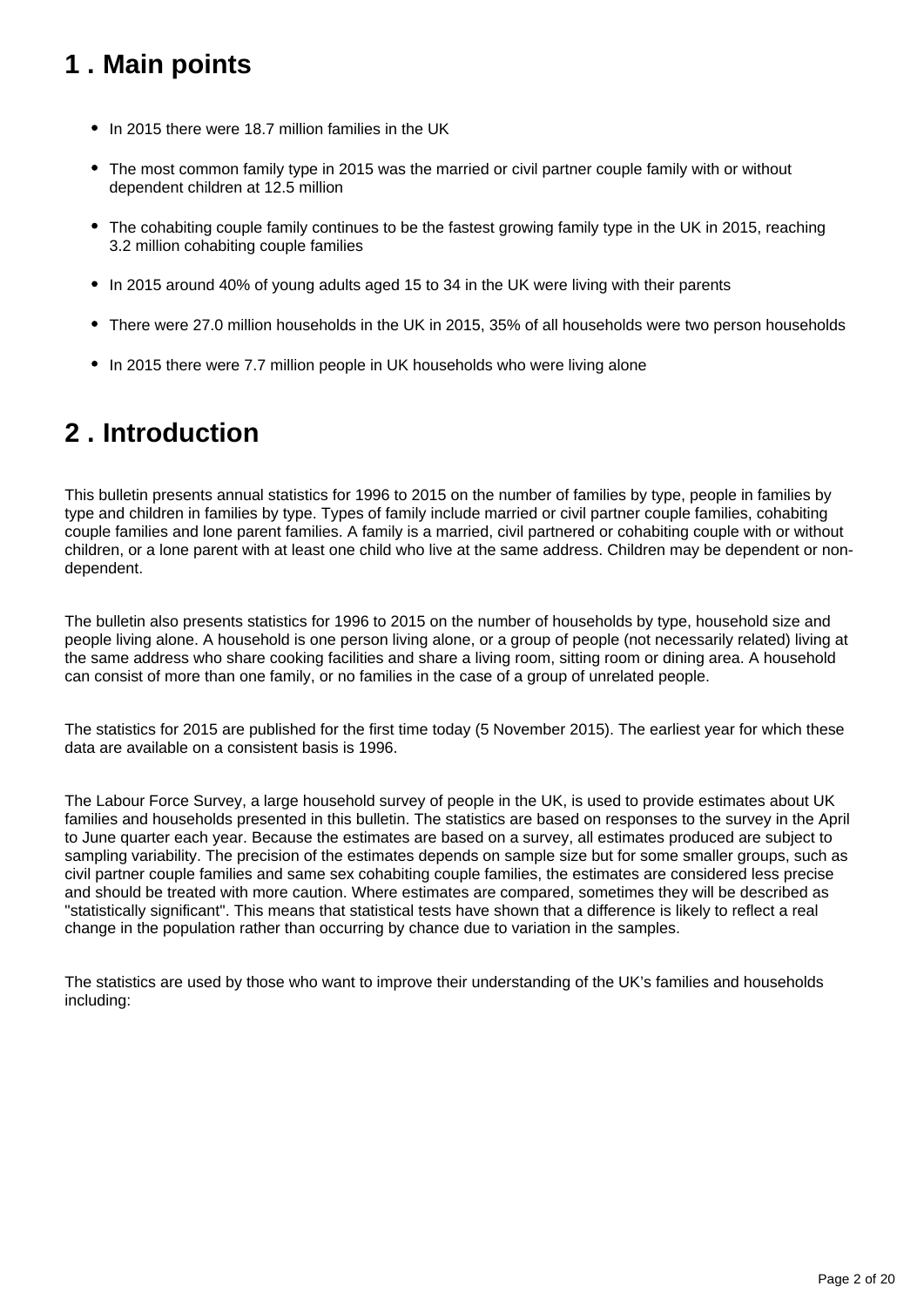## <span id="page-1-0"></span>**1 . Main points**

- In 2015 there were 18.7 million families in the UK
- The most common family type in 2015 was the married or civil partner couple family with or without dependent children at 12.5 million
- The cohabiting couple family continues to be the fastest growing family type in the UK in 2015, reaching 3.2 million cohabiting couple families
- In 2015 around 40% of young adults aged 15 to 34 in the UK were living with their parents
- There were 27.0 million households in the UK in 2015, 35% of all households were two person households
- In 2015 there were 7.7 million people in UK households who were living alone

### <span id="page-1-1"></span>**2 . Introduction**

This bulletin presents annual statistics for 1996 to 2015 on the number of families by type, people in families by type and children in families by type. Types of family include married or civil partner couple families, cohabiting couple families and lone parent families. A family is a married, civil partnered or cohabiting couple with or without children, or a lone parent with at least one child who live at the same address. Children may be dependent or nondependent.

The bulletin also presents statistics for 1996 to 2015 on the number of households by type, household size and people living alone. A household is one person living alone, or a group of people (not necessarily related) living at the same address who share cooking facilities and share a living room, sitting room or dining area. A household can consist of more than one family, or no families in the case of a group of unrelated people.

The statistics for 2015 are published for the first time today (5 November 2015). The earliest year for which these data are available on a consistent basis is 1996.

The Labour Force Survey, a large household survey of people in the UK, is used to provide estimates about UK families and households presented in this bulletin. The statistics are based on responses to the survey in the April to June quarter each year. Because the estimates are based on a survey, all estimates produced are subject to sampling variability. The precision of the estimates depends on sample size but for some smaller groups, such as civil partner couple families and same sex cohabiting couple families, the estimates are considered less precise and should be treated with more caution. Where estimates are compared, sometimes they will be described as "statistically significant". This means that statistical tests have shown that a difference is likely to reflect a real change in the population rather than occurring by chance due to variation in the samples.

The statistics are used by those who want to improve their understanding of the UK's families and households including: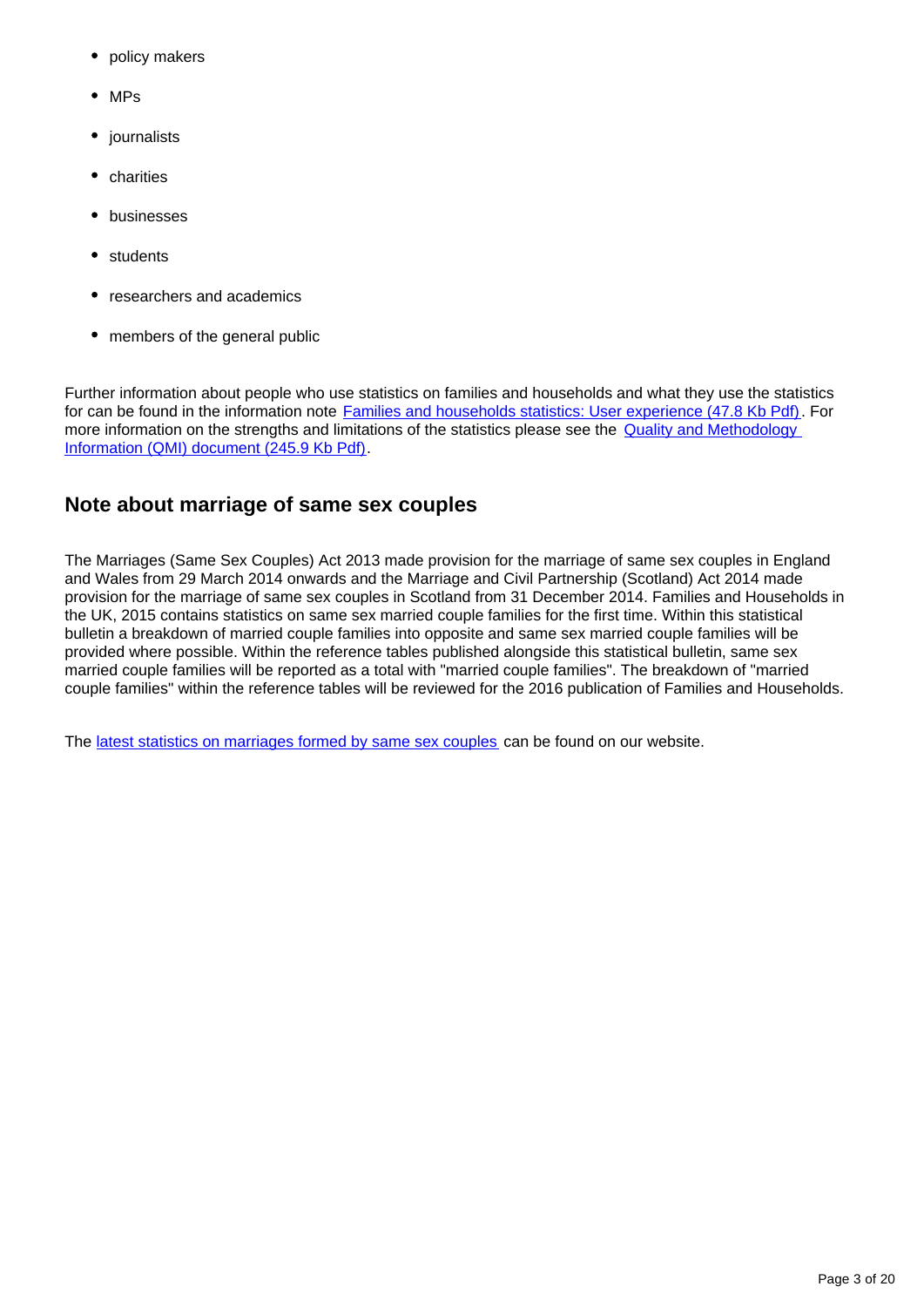- policy makers
- MPs
- journalists
- charities
- businesses
- students
- researchers and academics
- members of the general public

Further information about people who use statistics on families and households and what they use the statistics for can be found in the information note **[Families and households statistics: User experience \(47.8 Kb Pdf\)](http://www.ons.gov.uk/ons/rel/family-demography/families-and-households/2001-to-2010/user-experience.pdf)**. For more information on the strengths and limitations of the statistics please see the **Quality and Methodology** [Information \(QMI\) document \(245.9 Kb Pdf\)](http://www.ons.gov.uk/ons/guide-method/method-quality/quality/quality-information/population/summary-quality-report-for-families-and-households.pdf).

### **Note about marriage of same sex couples**

The Marriages (Same Sex Couples) Act 2013 made provision for the marriage of same sex couples in England and Wales from 29 March 2014 onwards and the Marriage and Civil Partnership (Scotland) Act 2014 made provision for the marriage of same sex couples in Scotland from 31 December 2014. Families and Households in the UK, 2015 contains statistics on same sex married couple families for the first time. Within this statistical bulletin a breakdown of married couple families into opposite and same sex married couple families will be provided where possible. Within the reference tables published alongside this statistical bulletin, same sex married couple families will be reported as a total with "married couple families". The breakdown of "married couple families" within the reference tables will be reviewed for the 2016 publication of Families and Households.

The [latest statistics on marriages formed by same sex couples](http://www.ons.gov.uk/ons/rel/vsob1/marriages-in-england-and-wales--provisional-/index.html) can be found on our website.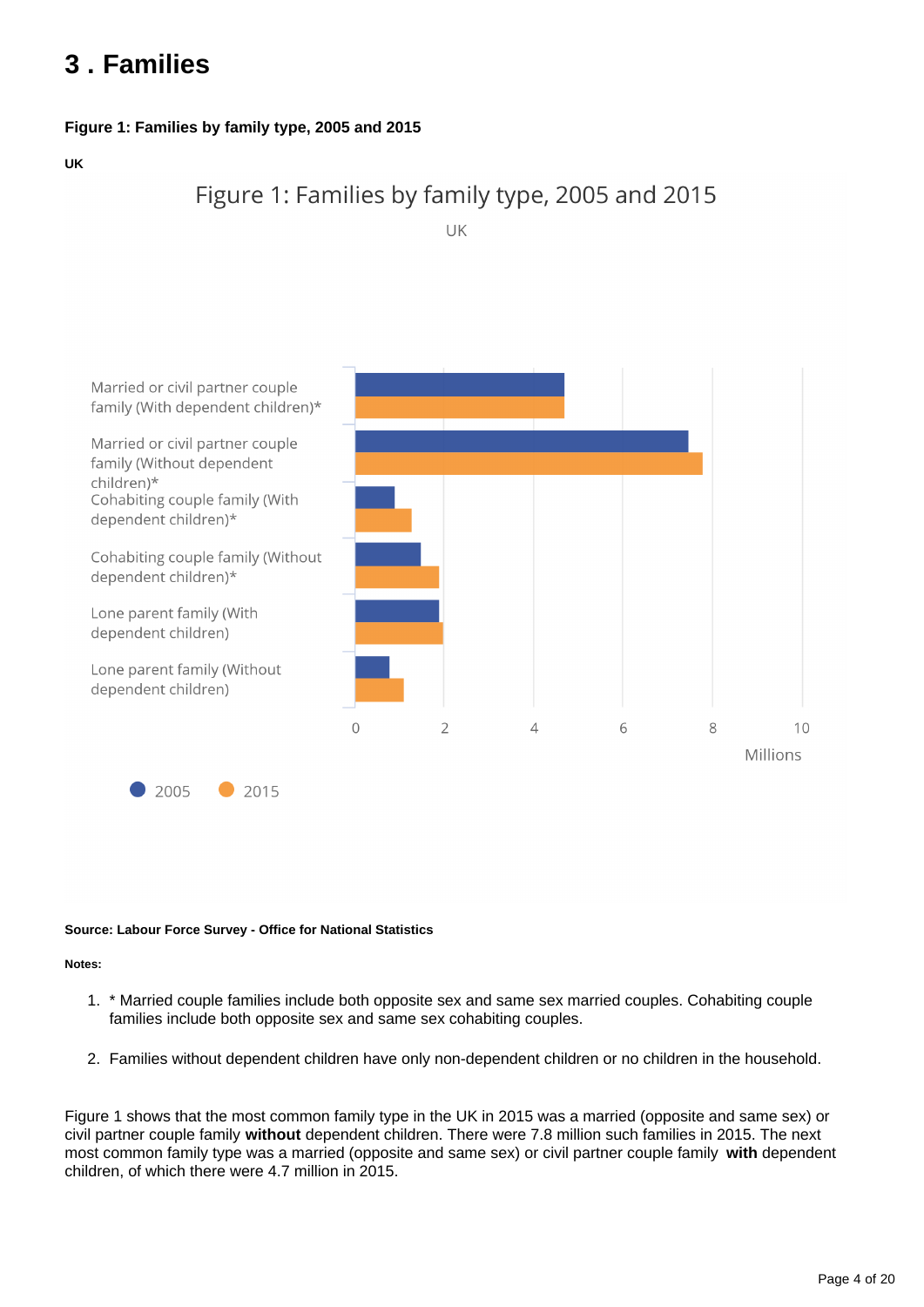## <span id="page-3-0"></span>**3 . Families**

#### **Figure 1: Families by family type, 2005 and 2015**

**UK**



UK



#### **Source: Labour Force Survey - Office for National Statistics**

#### **Notes:**

- 1. \* Married couple families include both opposite sex and same sex married couples. Cohabiting couple families include both opposite sex and same sex cohabiting couples.
- 2. Families without dependent children have only non-dependent children or no children in the household.

Figure 1 shows that the most common family type in the UK in 2015 was a married (opposite and same sex) or civil partner couple family **without** dependent children. There were 7.8 million such families in 2015. The next most common family type was a married (opposite and same sex) or civil partner couple family **with** dependent children, of which there were 4.7 million in 2015.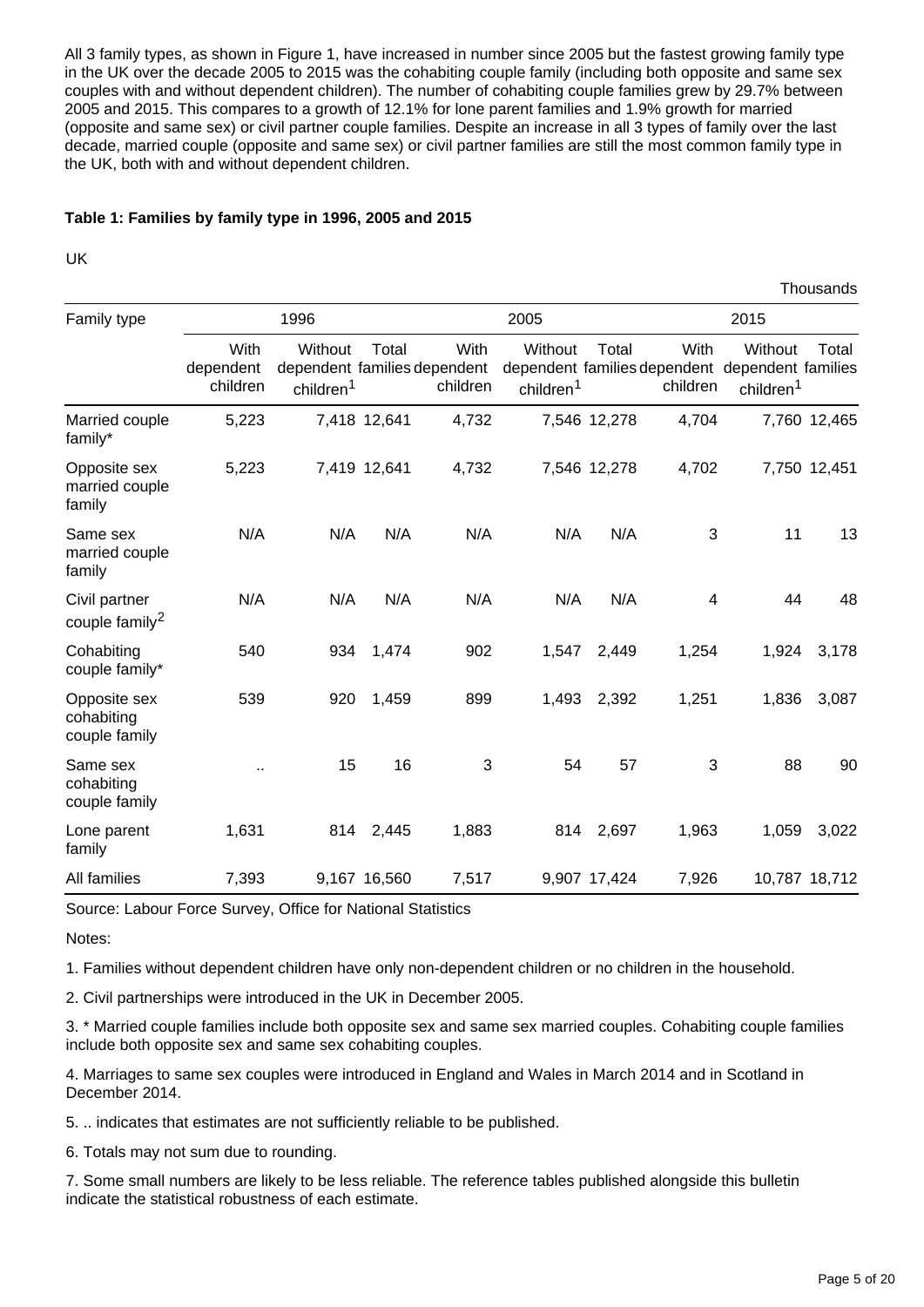All 3 family types, as shown in Figure 1, have increased in number since 2005 but the fastest growing family type in the UK over the decade 2005 to 2015 was the cohabiting couple family (including both opposite and same sex couples with and without dependent children). The number of cohabiting couple families grew by 29.7% between 2005 and 2015. This compares to a growth of 12.1% for lone parent families and 1.9% growth for married (opposite and same sex) or civil partner couple families. Despite an increase in all 3 types of family over the last decade, married couple (opposite and same sex) or civil partner families are still the most common family type in the UK, both with and without dependent children.

#### **Table 1: Families by family type in 1996, 2005 and 2015**

UK

|                                             |                               |                                                                  |              |                  |                                  |              |                  |                                                                                     | 1110usanus    |
|---------------------------------------------|-------------------------------|------------------------------------------------------------------|--------------|------------------|----------------------------------|--------------|------------------|-------------------------------------------------------------------------------------|---------------|
| Family type                                 | 1996                          |                                                                  |              | 2005             |                                  |              | 2015             |                                                                                     |               |
|                                             | With<br>dependent<br>children | Without<br>dependent families dependent<br>children <sup>1</sup> | Total        | With<br>children | Without<br>children <sup>1</sup> | Total        | With<br>children | Without<br>dependent families dependent dependent families<br>children <sup>1</sup> | Total         |
| Married couple<br>family*                   | 5,223                         |                                                                  | 7,418 12,641 | 4,732            |                                  | 7,546 12,278 | 4,704            |                                                                                     | 7,760 12,465  |
| Opposite sex<br>married couple<br>family    | 5,223                         |                                                                  | 7,419 12,641 | 4,732            |                                  | 7,546 12,278 | 4,702            |                                                                                     | 7,750 12,451  |
| Same sex<br>married couple<br>family        | N/A                           | N/A                                                              | N/A          | N/A              | N/A                              | N/A          | 3                | 11                                                                                  | 13            |
| Civil partner<br>couple family <sup>2</sup> | N/A                           | N/A                                                              | N/A          | N/A              | N/A                              | N/A          | 4                | 44                                                                                  | 48            |
| Cohabiting<br>couple family*                | 540                           | 934                                                              | 1,474        | 902              | 1,547                            | 2,449        | 1,254            | 1,924                                                                               | 3,178         |
| Opposite sex<br>cohabiting<br>couple family | 539                           | 920                                                              | 1,459        | 899              | 1,493                            | 2,392        | 1,251            | 1,836                                                                               | 3,087         |
| Same sex<br>cohabiting<br>couple family     | $\ddot{\phantom{a}}$          | 15                                                               | 16           | 3                | 54                               | 57           | 3                | 88                                                                                  | 90            |
| Lone parent<br>family                       | 1,631                         | 814                                                              | 2,445        | 1,883            | 814                              | 2,697        | 1,963            | 1,059                                                                               | 3,022         |
| All families                                | 7,393                         |                                                                  | 9,167 16,560 | 7,517            |                                  | 9,907 17,424 | 7,926            |                                                                                     | 10,787 18,712 |

Source: Labour Force Survey, Office for National Statistics

Notes:

1. Families without dependent children have only non-dependent children or no children in the household.

2. Civil partnerships were introduced in the UK in December 2005.

3. \* Married couple families include both opposite sex and same sex married couples. Cohabiting couple families include both opposite sex and same sex cohabiting couples.

4. Marriages to same sex couples were introduced in England and Wales in March 2014 and in Scotland in December 2014.

5. .. indicates that estimates are not sufficiently reliable to be published.

6. Totals may not sum due to rounding.

7. Some small numbers are likely to be less reliable. The reference tables published alongside this bulletin indicate the statistical robustness of each estimate.

Thousands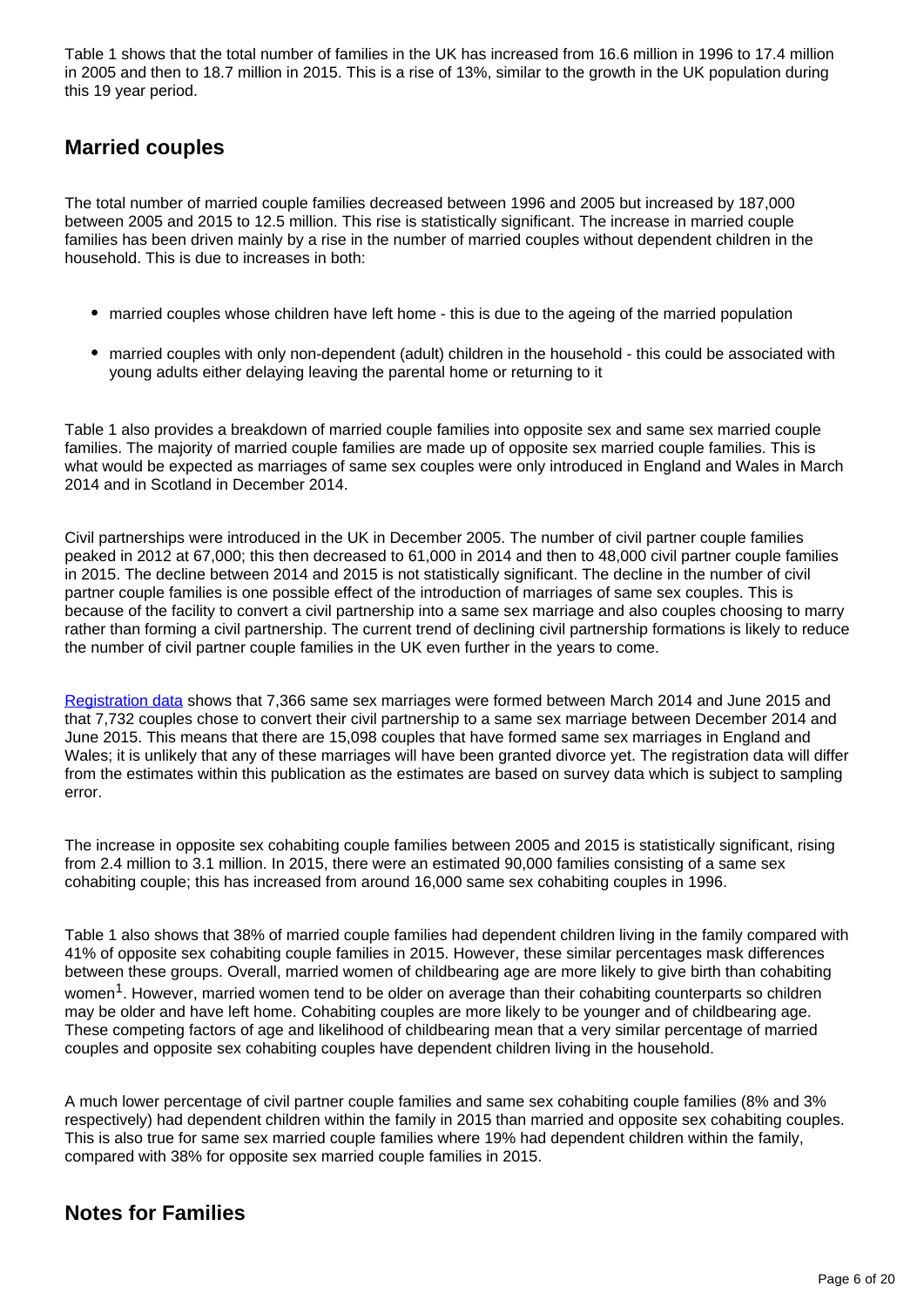Table 1 shows that the total number of families in the UK has increased from 16.6 million in 1996 to 17.4 million in 2005 and then to 18.7 million in 2015. This is a rise of 13%, similar to the growth in the UK population during this 19 year period.

### **Married couples**

The total number of married couple families decreased between 1996 and 2005 but increased by 187,000 between 2005 and 2015 to 12.5 million. This rise is statistically significant. The increase in married couple families has been driven mainly by a rise in the number of married couples without dependent children in the household. This is due to increases in both:

- married couples whose children have left home this is due to the ageing of the married population
- married couples with only non-dependent (adult) children in the household this could be associated with young adults either delaying leaving the parental home or returning to it

Table 1 also provides a breakdown of married couple families into opposite sex and same sex married couple families. The majority of married couple families are made up of opposite sex married couple families. This is what would be expected as marriages of same sex couples were only introduced in England and Wales in March 2014 and in Scotland in December 2014.

Civil partnerships were introduced in the UK in December 2005. The number of civil partner couple families peaked in 2012 at 67,000; this then decreased to 61,000 in 2014 and then to 48,000 civil partner couple families in 2015. The decline between 2014 and 2015 is not statistically significant. The decline in the number of civil partner couple families is one possible effect of the introduction of marriages of same sex couples. This is because of the facility to convert a civil partnership into a same sex marriage and also couples choosing to marry rather than forming a civil partnership. The current trend of declining civil partnership formations is likely to reduce the number of civil partner couple families in the UK even further in the years to come.

[Registration data](http://www.ons.gov.uk/ons/rel/vsob1/marriages-in-england-and-wales--provisional-/for-same-sex-couples--2014/index.html) shows that 7,366 same sex marriages were formed between March 2014 and June 2015 and that 7,732 couples chose to convert their civil partnership to a same sex marriage between December 2014 and June 2015. This means that there are 15,098 couples that have formed same sex marriages in England and Wales; it is unlikely that any of these marriages will have been granted divorce yet. The registration data will differ from the estimates within this publication as the estimates are based on survey data which is subject to sampling error.

The increase in opposite sex cohabiting couple families between 2005 and 2015 is statistically significant, rising from 2.4 million to 3.1 million. In 2015, there were an estimated 90,000 families consisting of a same sex cohabiting couple; this has increased from around 16,000 same sex cohabiting couples in 1996.

Table 1 also shows that 38% of married couple families had dependent children living in the family compared with 41% of opposite sex cohabiting couple families in 2015. However, these similar percentages mask differences between these groups. Overall, married women of childbearing age are more likely to give birth than cohabiting women<sup>1</sup>. However, married women tend to be older on average than their cohabiting counterparts so children may be older and have left home. Cohabiting couples are more likely to be younger and of childbearing age. These competing factors of age and likelihood of childbearing mean that a very similar percentage of married couples and opposite sex cohabiting couples have dependent children living in the household.

A much lower percentage of civil partner couple families and same sex cohabiting couple families (8% and 3% respectively) had dependent children within the family in 2015 than married and opposite sex cohabiting couples. This is also true for same sex married couple families where 19% had dependent children within the family, compared with 38% for opposite sex married couple families in 2015.

### **Notes for Families**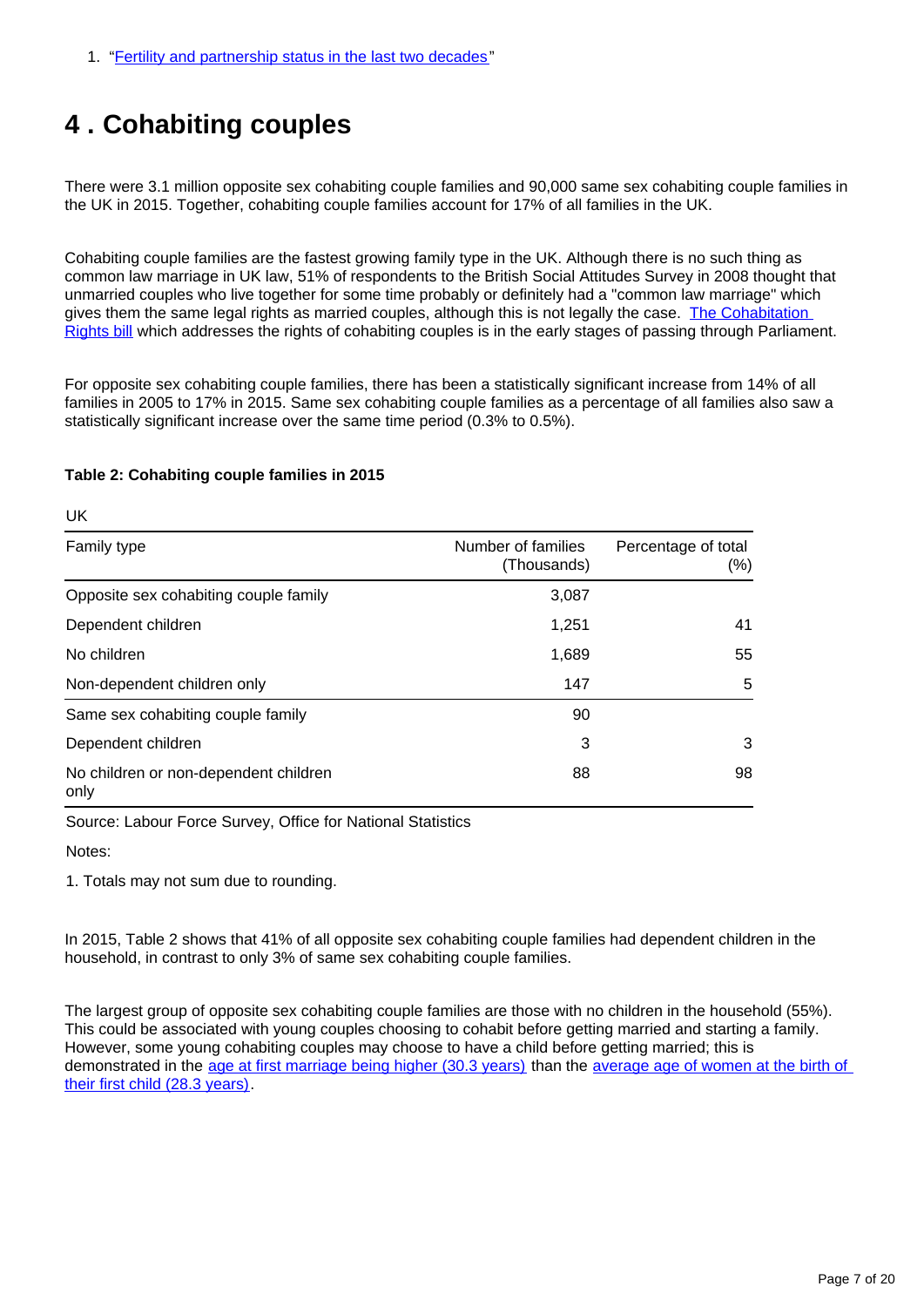### <span id="page-6-0"></span>**4 . Cohabiting couples**

There were 3.1 million opposite sex cohabiting couple families and 90,000 same sex cohabiting couple families in the UK in 2015. Together, cohabiting couple families account for 17% of all families in the UK.

Cohabiting couple families are the fastest growing family type in the UK. Although there is no such thing as common law marriage in UK law, 51% of respondents to the British Social Attitudes Survey in 2008 thought that unmarried couples who live together for some time probably or definitely had a "common law marriage" which gives them the same legal rights as married couples, although this is not legally the case. The Cohabitation [Rights bill](http://services.parliament.uk/bills/2015-16/cohabitationrights.html) which addresses the rights of cohabiting couples is in the early stages of passing through Parliament.

For opposite sex cohabiting couple families, there has been a statistically significant increase from 14% of all families in 2005 to 17% in 2015. Same sex cohabiting couple families as a percentage of all families also saw a statistically significant increase over the same time period (0.3% to 0.5%).

#### **Table 2: Cohabiting couple families in 2015**

| Family type                                   | Number of families<br>(Thousands) | Percentage of total<br>(%) |
|-----------------------------------------------|-----------------------------------|----------------------------|
| Opposite sex cohabiting couple family         | 3,087                             |                            |
| Dependent children                            | 1,251                             | 41                         |
| No children                                   | 1,689                             | 55                         |
| Non-dependent children only                   | 147                               | 5                          |
| Same sex cohabiting couple family             | 90                                |                            |
| Dependent children                            | 3                                 | 3                          |
| No children or non-dependent children<br>only | 88                                | 98                         |

Source: Labour Force Survey, Office for National Statistics

Notes:

UK

1. Totals may not sum due to rounding.

In 2015, Table 2 shows that 41% of all opposite sex cohabiting couple families had dependent children in the household, in contrast to only 3% of same sex cohabiting couple families.

The largest group of opposite sex cohabiting couple families are those with no children in the household (55%). This could be associated with young couples choosing to cohabit before getting married and starting a family. However, some young cohabiting couples may choose to have a child before getting married; this is demonstrated in the [age at first marriage being higher \(30.3 years\)](http://www.ons.gov.uk/ons/rel/vsob1/marriages-in-england-and-wales--provisional-/2012/stb-marriages-in-england-and-wales--provisional---2011.html) than the average age of women at the birth of [their first child \(28.3 years\)](http://www.ons.gov.uk/ons/rel/vsob1/characteristics-of-Mother-1--england-and-wales/2013/stb-characteristics-of-mother-1--2013.html).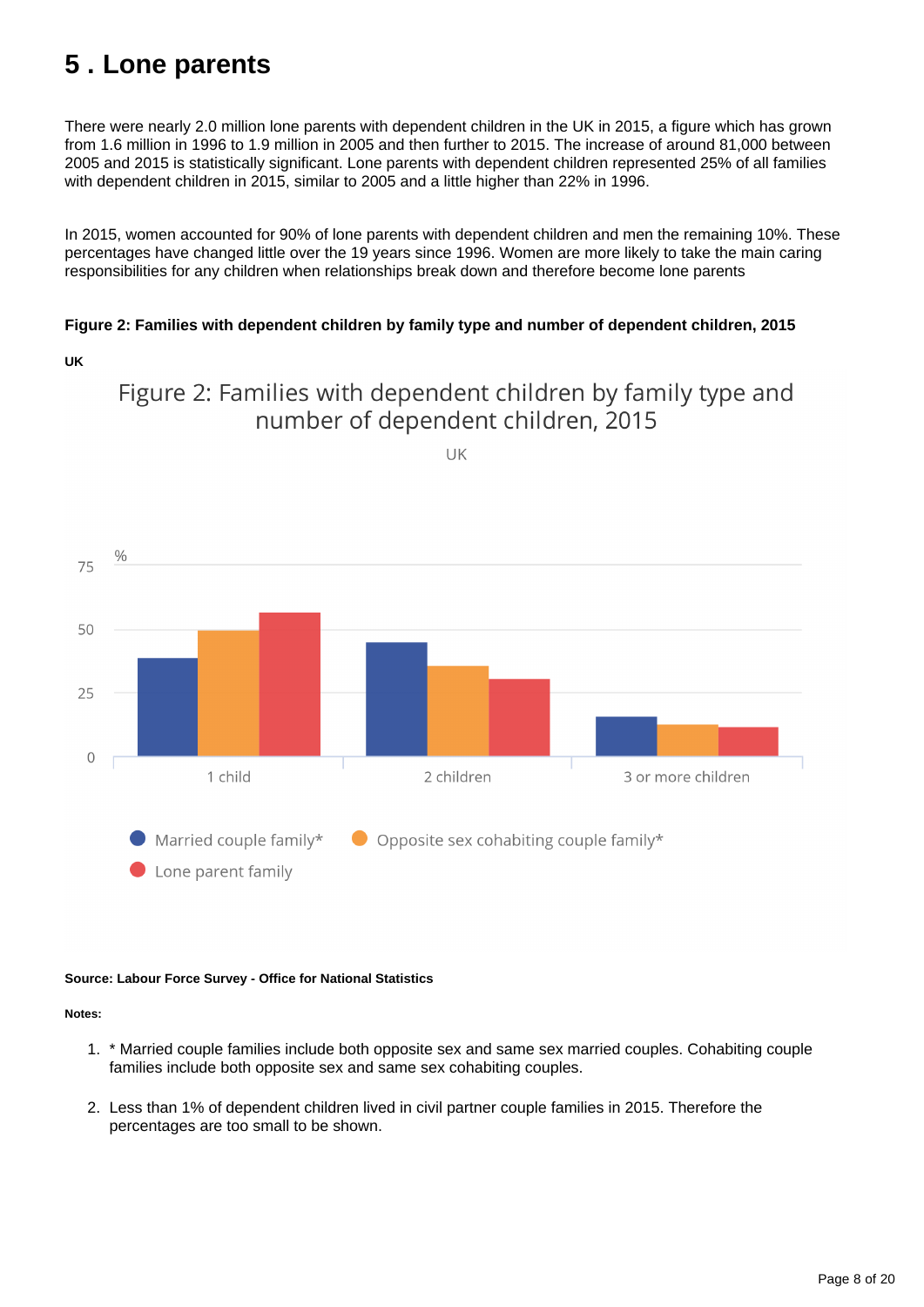## <span id="page-7-0"></span>**5 . Lone parents**

There were nearly 2.0 million lone parents with dependent children in the UK in 2015, a figure which has grown from 1.6 million in 1996 to 1.9 million in 2005 and then further to 2015. The increase of around 81,000 between 2005 and 2015 is statistically significant. Lone parents with dependent children represented 25% of all families with dependent children in 2015, similar to 2005 and a little higher than 22% in 1996.

In 2015, women accounted for 90% of lone parents with dependent children and men the remaining 10%. These percentages have changed little over the 19 years since 1996. Women are more likely to take the main caring responsibilities for any children when relationships break down and therefore become lone parents

#### **Figure 2: Families with dependent children by family type and number of dependent children, 2015**





Figure 2: Families with dependent children by family type and

#### **Source: Labour Force Survey - Office for National Statistics**

**Notes:**

- 1. \* Married couple families include both opposite sex and same sex married couples. Cohabiting couple families include both opposite sex and same sex cohabiting couples.
- 2. Less than 1% of dependent children lived in civil partner couple families in 2015. Therefore the percentages are too small to be shown.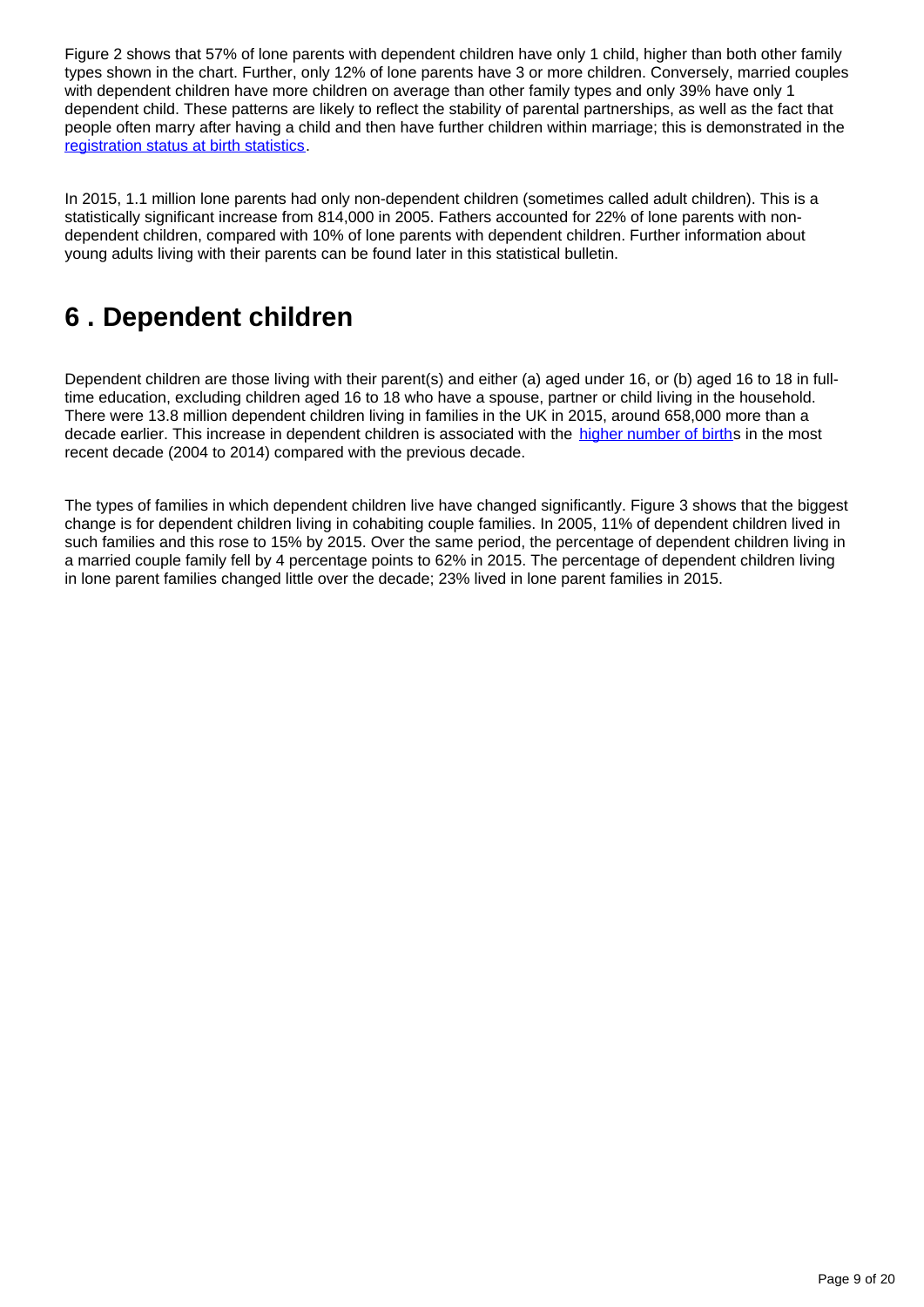Figure 2 shows that 57% of lone parents with dependent children have only 1 child, higher than both other family types shown in the chart. Further, only 12% of lone parents have 3 or more children. Conversely, married couples with dependent children have more children on average than other family types and only 39% have only 1 dependent child. These patterns are likely to reflect the stability of parental partnerships, as well as the fact that people often marry after having a child and then have further children within marriage; this is demonstrated in the [registration status at birth statistics](http://www.ons.gov.uk/ons/rel/vsob1/characteristics-of-Mother-1--england-and-wales/2013/art---childbearing-by-registration-status.html).

In 2015, 1.1 million lone parents had only non-dependent children (sometimes called adult children). This is a statistically significant increase from 814,000 in 2005. Fathers accounted for 22% of lone parents with nondependent children, compared with 10% of lone parents with dependent children. Further information about young adults living with their parents can be found later in this statistical bulletin.

### <span id="page-8-0"></span>**6 . Dependent children**

Dependent children are those living with their parent(s) and either (a) aged under 16, or (b) aged 16 to 18 in fulltime education, excluding children aged 16 to 18 who have a spouse, partner or child living in the household. There were 13.8 million dependent children living in families in the UK in 2015, around 658,000 more than a decade earlier. This increase in dependent children is associated with the [higher number of births](http://www.ons.gov.uk/ons/rel/vsob1/birth-summary-tables--england-and-wales/index.html) in the most recent decade (2004 to 2014) compared with the previous decade.

The types of families in which dependent children live have changed significantly. Figure 3 shows that the biggest change is for dependent children living in cohabiting couple families. In 2005, 11% of dependent children lived in such families and this rose to 15% by 2015. Over the same period, the percentage of dependent children living in a married couple family fell by 4 percentage points to 62% in 2015. The percentage of dependent children living in lone parent families changed little over the decade; 23% lived in lone parent families in 2015.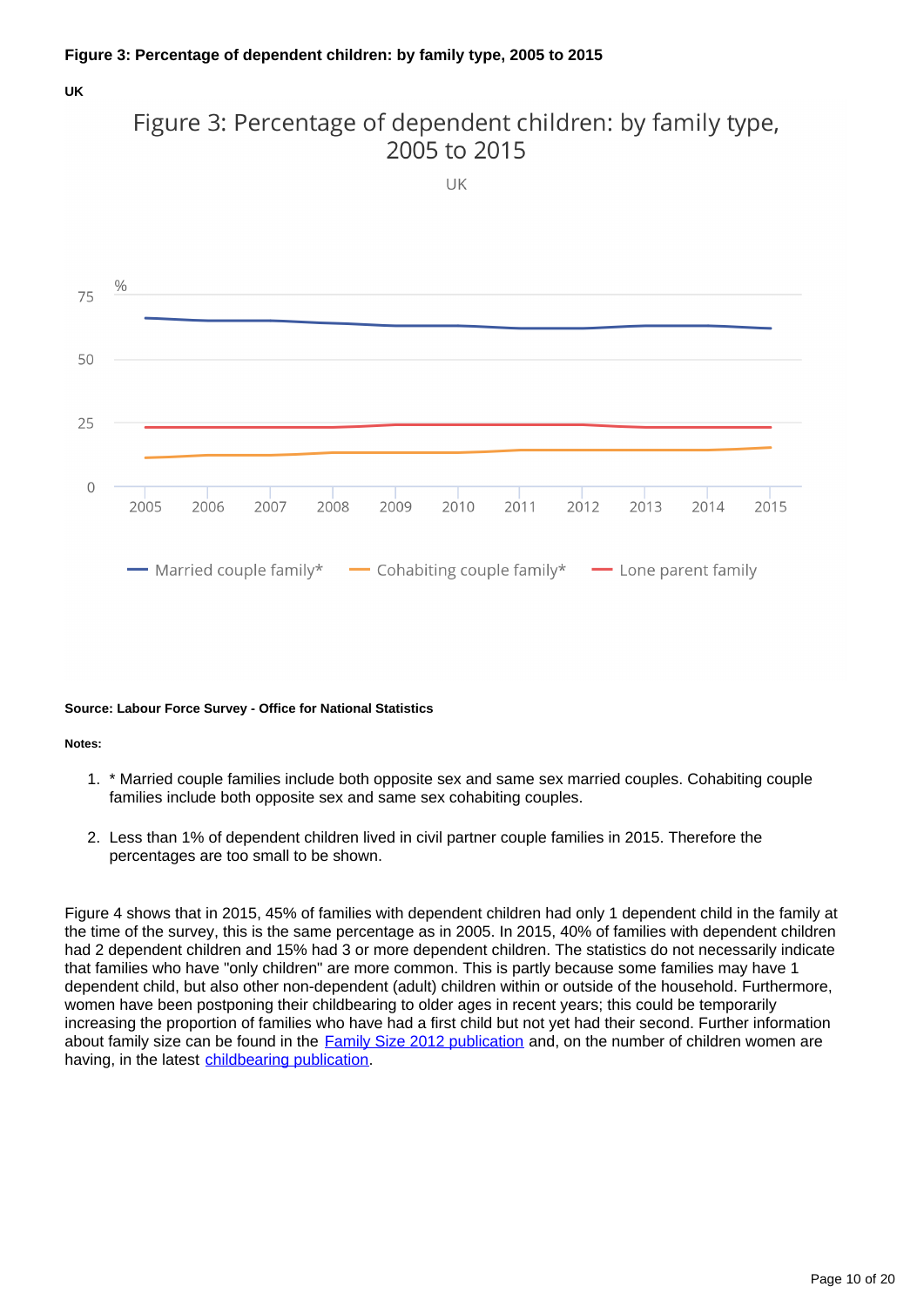#### **Figure 3: Percentage of dependent children: by family type, 2005 to 2015**

#### **UK**



#### **Source: Labour Force Survey - Office for National Statistics**

#### **Notes:**

- 1. \* Married couple families include both opposite sex and same sex married couples. Cohabiting couple families include both opposite sex and same sex cohabiting couples.
- 2. Less than 1% of dependent children lived in civil partner couple families in 2015. Therefore the percentages are too small to be shown.

Figure 4 shows that in 2015, 45% of families with dependent children had only 1 dependent child in the family at the time of the survey, this is the same percentage as in 2005. In 2015, 40% of families with dependent children had 2 dependent children and 15% had 3 or more dependent children. The statistics do not necessarily indicate that families who have "only children" are more common. This is partly because some families may have 1 dependent child, but also other non-dependent (adult) children within or outside of the household. Furthermore, women have been postponing their childbearing to older ages in recent years; this could be temporarily increasing the proportion of families who have had a first child but not yet had their second. Further information about family size can be found in the **[Family Size 2012 publication](http://www.ons.gov.uk/ons/rel/family-demography/family-size/2012/family-size-rpt.html)** and, on the number of children women are having, in the latest [childbearing publication.](http://www.ons.gov.uk/ons/rel/fertility-analysis/childbearing-for-women-born-in-different-years/index.html)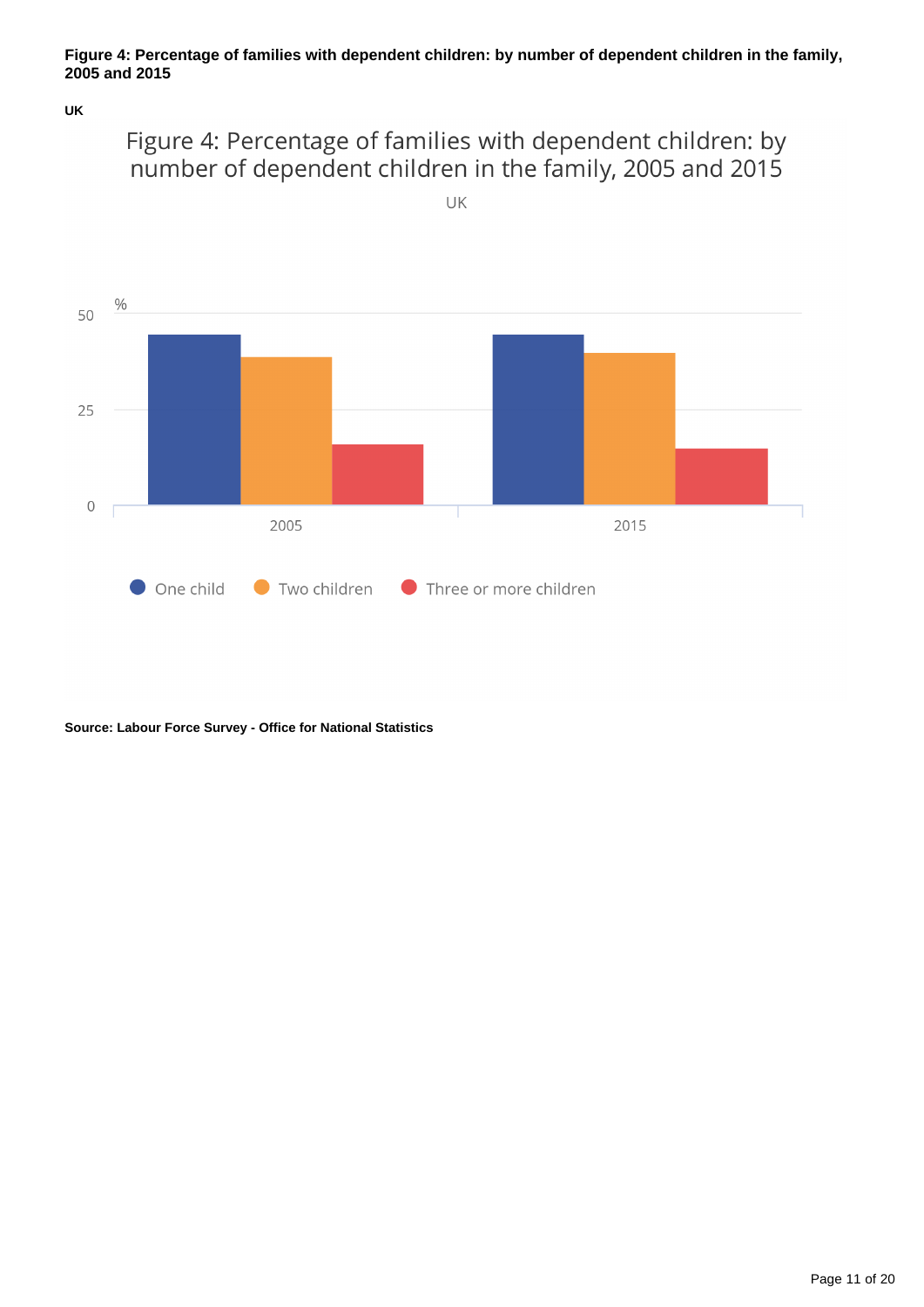#### **Figure 4: Percentage of families with dependent children: by number of dependent children in the family, 2005 and 2015**

**UK**





#### **Source: Labour Force Survey - Office for National Statistics**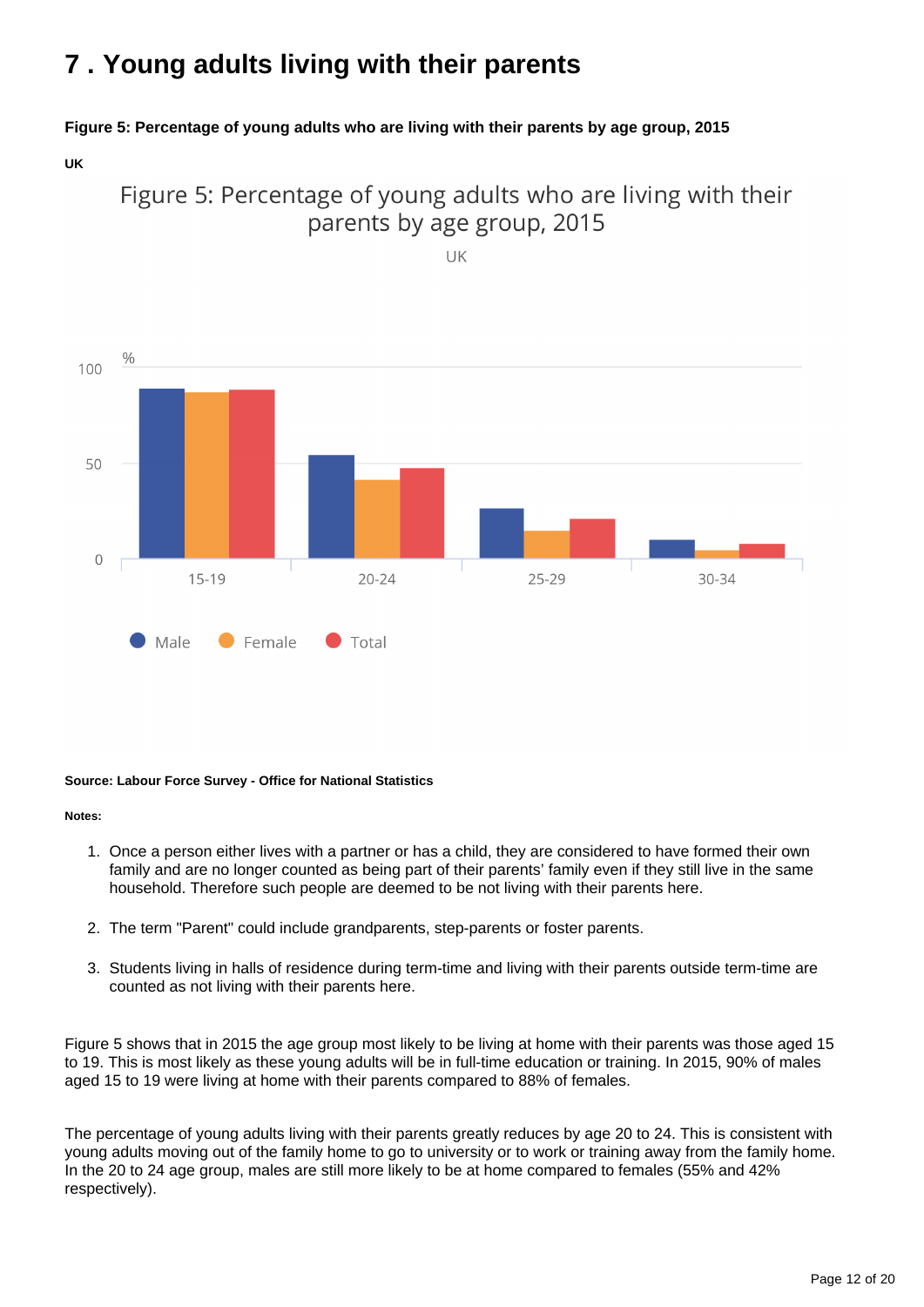## <span id="page-11-0"></span>**7 . Young adults living with their parents**

#### **Figure 5: Percentage of young adults who are living with their parents by age group, 2015**

**UK**



 $25 - 29$ 

30-34

Figure 5: Percentage of young adults who are living with their parents by age group, 2015

#### **Source: Labour Force Survey - Office for National Statistics**

Female

 $15 - 19$ 

Male

#### **Notes:**

 $\circ$ 

- 1. Once a person either lives with a partner or has a child, they are considered to have formed their own family and are no longer counted as being part of their parents' family even if they still live in the same household. Therefore such people are deemed to be not living with their parents here.
- 2. The term "Parent" could include grandparents, step-parents or foster parents.

 $20 - 24$ 

 $\Gamma$  Total

3. Students living in halls of residence during term-time and living with their parents outside term-time are counted as not living with their parents here.

Figure 5 shows that in 2015 the age group most likely to be living at home with their parents was those aged 15 to 19. This is most likely as these young adults will be in full-time education or training. In 2015, 90% of males aged 15 to 19 were living at home with their parents compared to 88% of females.

The percentage of young adults living with their parents greatly reduces by age 20 to 24. This is consistent with young adults moving out of the family home to go to university or to work or training away from the family home. In the 20 to 24 age group, males are still more likely to be at home compared to females (55% and 42% respectively).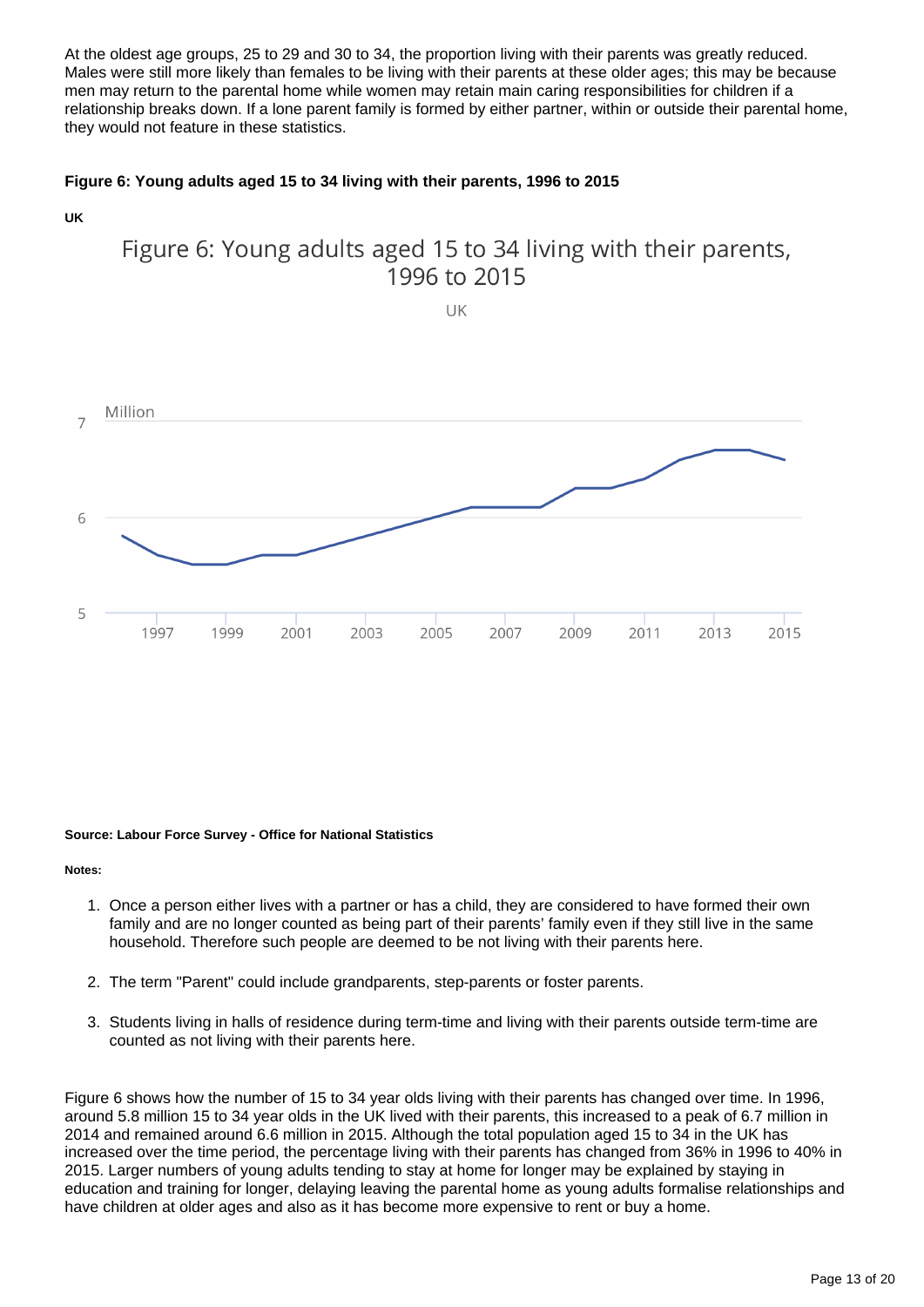At the oldest age groups, 25 to 29 and 30 to 34, the proportion living with their parents was greatly reduced. Males were still more likely than females to be living with their parents at these older ages; this may be because men may return to the parental home while women may retain main caring responsibilities for children if a relationship breaks down. If a lone parent family is formed by either partner, within or outside their parental home, they would not feature in these statistics.

#### **Figure 6: Young adults aged 15 to 34 living with their parents, 1996 to 2015**



#### **Source: Labour Force Survey - Office for National Statistics**

**Notes:**

- 1. Once a person either lives with a partner or has a child, they are considered to have formed their own family and are no longer counted as being part of their parents' family even if they still live in the same household. Therefore such people are deemed to be not living with their parents here.
- 2. The term "Parent" could include grandparents, step-parents or foster parents.
- 3. Students living in halls of residence during term-time and living with their parents outside term-time are counted as not living with their parents here.

Figure 6 shows how the number of 15 to 34 year olds living with their parents has changed over time. In 1996, around 5.8 million 15 to 34 year olds in the UK lived with their parents, this increased to a peak of 6.7 million in 2014 and remained around 6.6 million in 2015. Although the total population aged 15 to 34 in the UK has increased over the time period, the percentage living with their parents has changed from 36% in 1996 to 40% in 2015. Larger numbers of young adults tending to stay at home for longer may be explained by staying in education and training for longer, delaying leaving the parental home as young adults formalise relationships and have children at older ages and also as it has become more expensive to rent or buy a home.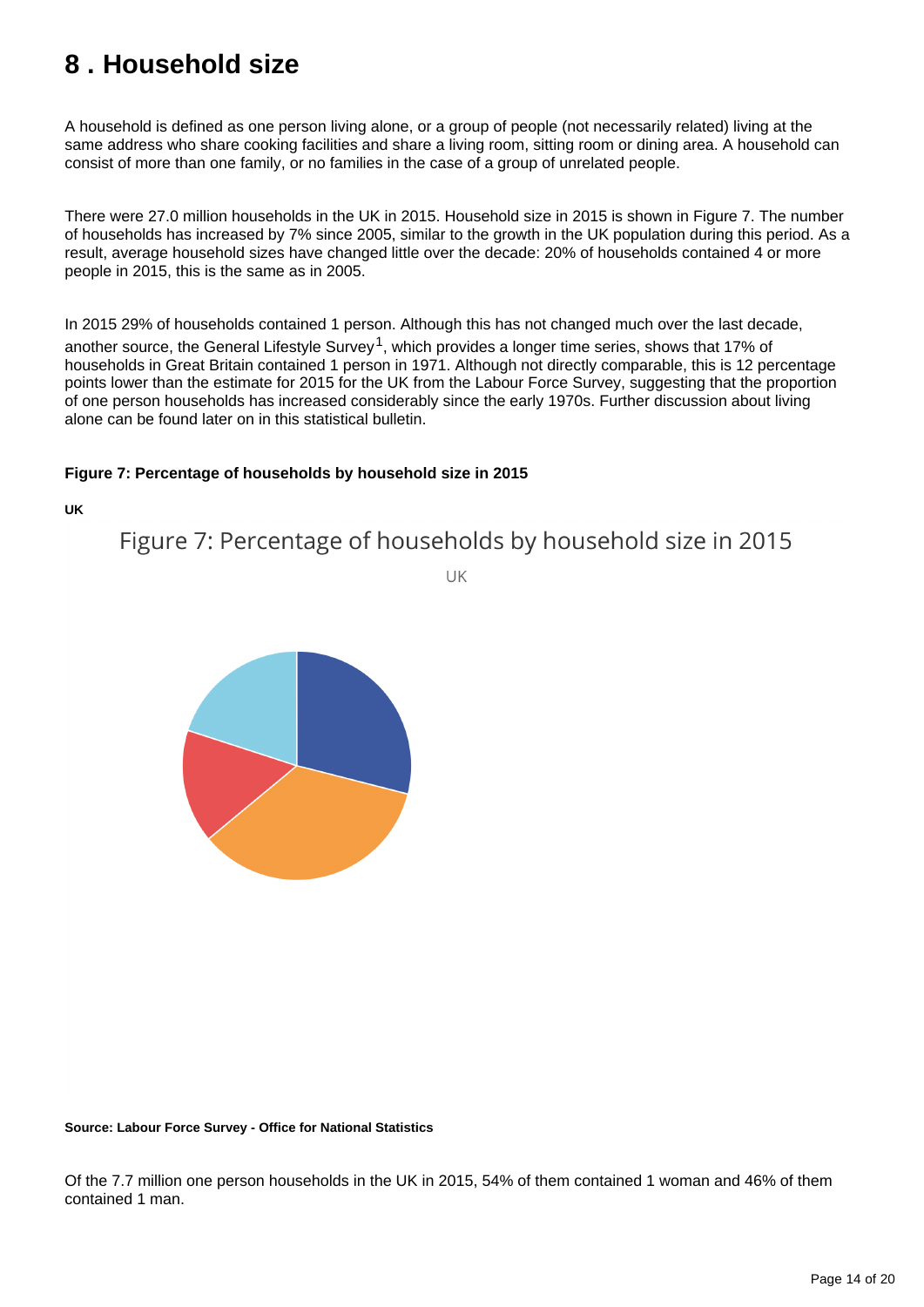## <span id="page-13-0"></span>**8 . Household size**

A household is defined as one person living alone, or a group of people (not necessarily related) living at the same address who share cooking facilities and share a living room, sitting room or dining area. A household can consist of more than one family, or no families in the case of a group of unrelated people.

There were 27.0 million households in the UK in 2015. Household size in 2015 is shown in Figure 7. The number of households has increased by 7% since 2005, similar to the growth in the UK population during this period. As a result, average household sizes have changed little over the decade: 20% of households contained 4 or more people in 2015, this is the same as in 2005.

In 2015 29% of households contained 1 person. Although this has not changed much over the last decade, another source, the General Lifestyle Survey<sup>1</sup>, which provides a longer time series, shows that 17% of households in Great Britain contained 1 person in 1971. Although not directly comparable, this is 12 percentage points lower than the estimate for 2015 for the UK from the Labour Force Survey, suggesting that the proportion of one person households has increased considerably since the early 1970s. Further discussion about living alone can be found later on in this statistical bulletin.

#### **Figure 7: Percentage of households by household size in 2015**

**UK**

Figure 7: Percentage of households by household size in 2015

UK



#### **Source: Labour Force Survey - Office for National Statistics**

Of the 7.7 million one person households in the UK in 2015, 54% of them contained 1 woman and 46% of them contained 1 man.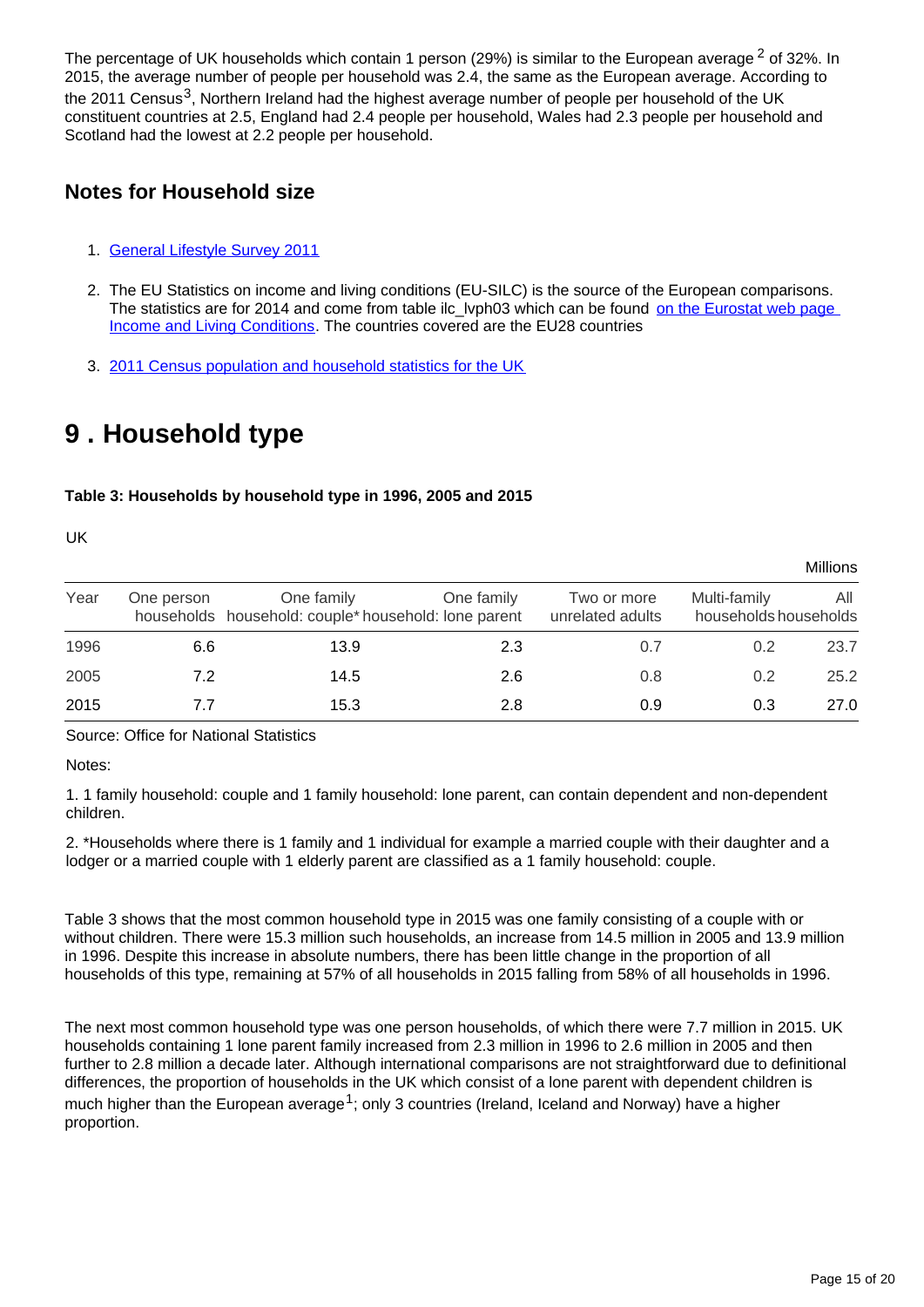The percentage of UK households which contain 1 person (29%) is similar to the European average  $2$  of 32%. In 2015, the average number of people per household was 2.4, the same as the European average. According to the 2011 Census<sup>3</sup>. Northern Ireland had the highest average number of people per household of the UK constituent countries at 2.5, England had 2.4 people per household, Wales had 2.3 people per household and Scotland had the lowest at 2.2 people per household.

### **Notes for Household size**

- 1. [General Lifestyle Survey 2011](http://www.ons.gov.uk/ons/rel/ghs/general-lifestyle-survey/2011/index.html)
- 2. The EU Statistics on income and living conditions (EU-SILC) is the source of the European comparisons. The statistics are for 2014 and come from table ilc lyph03 which can be found on the Eurostat web page [Income and Living Conditions](http://ec.europa.eu/eurostat/data/database). The countries covered are the EU28 countries
- 3. [2011 Census population and household statistics for the UK](http://www.ons.gov.uk/ons/rel/census/2011-census/population-estimates-by-five-year-age-bands--and-household-estimates--for-local-authorities-in-the-united-kingdom/index.html)

## <span id="page-14-0"></span>**9 . Household type**

#### **Table 3: Households by household type in 1996, 2005 and 2015**

UK

| Year | One person | One family<br>households household: couple* household: lone parent | One family | Two or more<br>unrelated adults | Multi-family<br>households households | All  |  |  |
|------|------------|--------------------------------------------------------------------|------------|---------------------------------|---------------------------------------|------|--|--|
| 1996 | 6.6        | 13.9                                                               | 2.3        | 0.7                             | 0.2                                   | 23.7 |  |  |
| 2005 | 7.2        | 14.5                                                               | 2.6        | 0.8                             | 0.2                                   | 25.2 |  |  |
| 2015 | 7.7        | 15.3                                                               | 2.8        | 0.9                             | 0.3                                   | 27.0 |  |  |

Source: Office for National Statistics

Notes:

1. 1 family household: couple and 1 family household: lone parent, can contain dependent and non-dependent children.

2. \*Households where there is 1 family and 1 individual for example a married couple with their daughter and a lodger or a married couple with 1 elderly parent are classified as a 1 family household: couple.

Table 3 shows that the most common household type in 2015 was one family consisting of a couple with or without children. There were 15.3 million such households, an increase from 14.5 million in 2005 and 13.9 million in 1996. Despite this increase in absolute numbers, there has been little change in the proportion of all households of this type, remaining at 57% of all households in 2015 falling from 58% of all households in 1996.

The next most common household type was one person households, of which there were 7.7 million in 2015. UK households containing 1 lone parent family increased from 2.3 million in 1996 to 2.6 million in 2005 and then further to 2.8 million a decade later. Although international comparisons are not straightforward due to definitional differences, the proportion of households in the UK which consist of a lone parent with dependent children is much higher than the European average<sup>1</sup>; only 3 countries (Ireland, Iceland and Norway) have a higher proportion.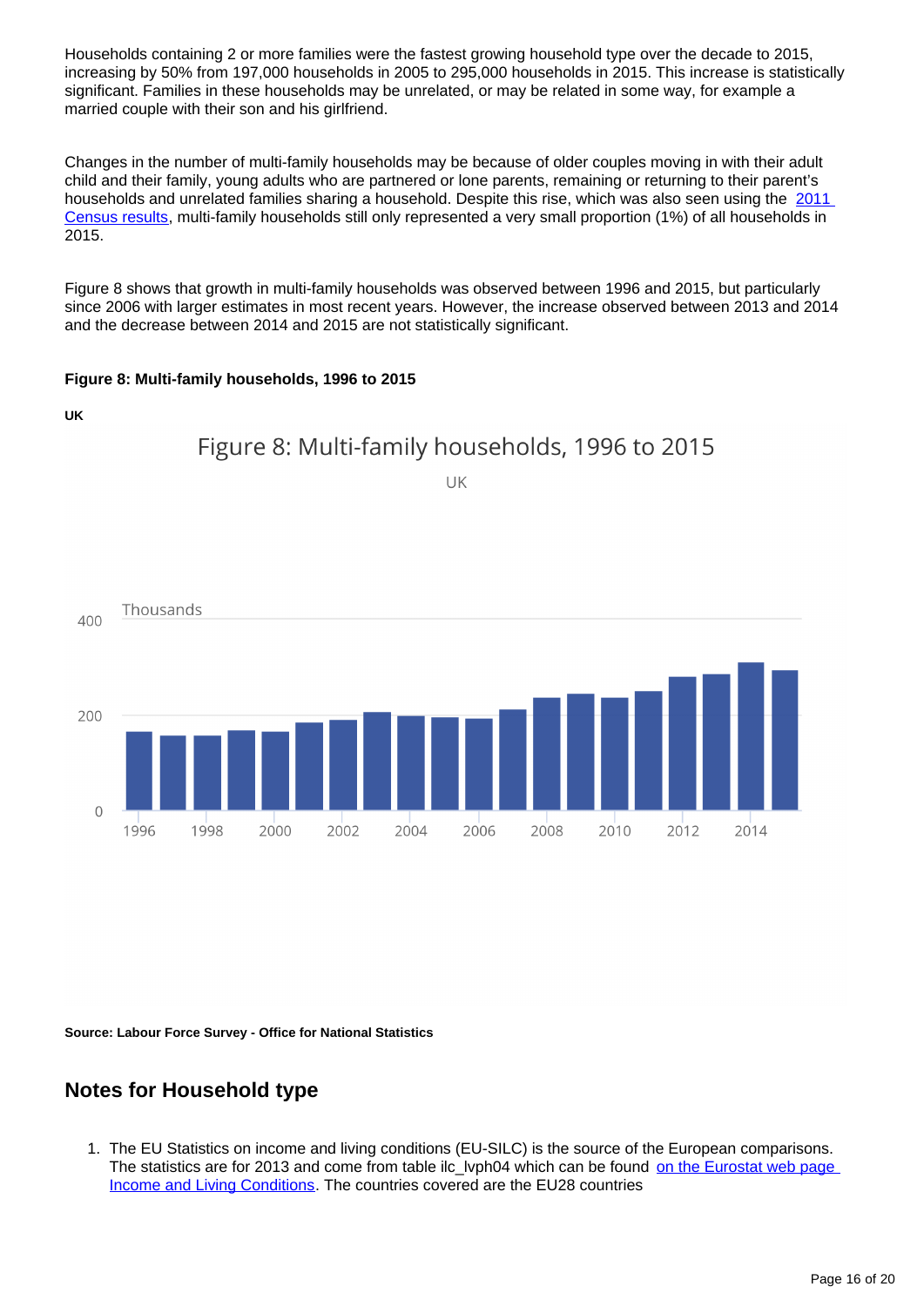Households containing 2 or more families were the fastest growing household type over the decade to 2015, increasing by 50% from 197,000 households in 2005 to 295,000 households in 2015. This increase is statistically significant. Families in these households may be unrelated, or may be related in some way, for example a married couple with their son and his girlfriend.

Changes in the number of multi-family households may be because of older couples moving in with their adult child and their family, young adults who are partnered or lone parents, remaining or returning to their parent's households and unrelated families sharing a household. Despite this rise, which was also seen using the 2011 [Census results,](http://www.ons.gov.uk/ons/rel/census/2011-census-analysis/what-does-the-2011-census-tell-us-about-concealed-families-living-in-multi-family-households-in-england-and-wales-/index.html) multi-family households still only represented a very small proportion (1%) of all households in 2015.

Figure 8 shows that growth in multi-family households was observed between 1996 and 2015, but particularly since 2006 with larger estimates in most recent years. However, the increase observed between 2013 and 2014 and the decrease between 2014 and 2015 are not statistically significant.

#### **Figure 8: Multi-family households, 1996 to 2015**



2004

2006

2008

2010

2012

2014

**Source: Labour Force Survey - Office for National Statistics**

2000

### **Notes for Household type**

1998

1996

1. The EU Statistics on income and living conditions (EU-SILC) is the source of the European comparisons. The statistics are for 2013 and come from table ilc lyph04 which can be found on the Eurostat web page [Income and Living Conditions](http://ec.europa.eu/eurostat/data/database). The countries covered are the EU28 countries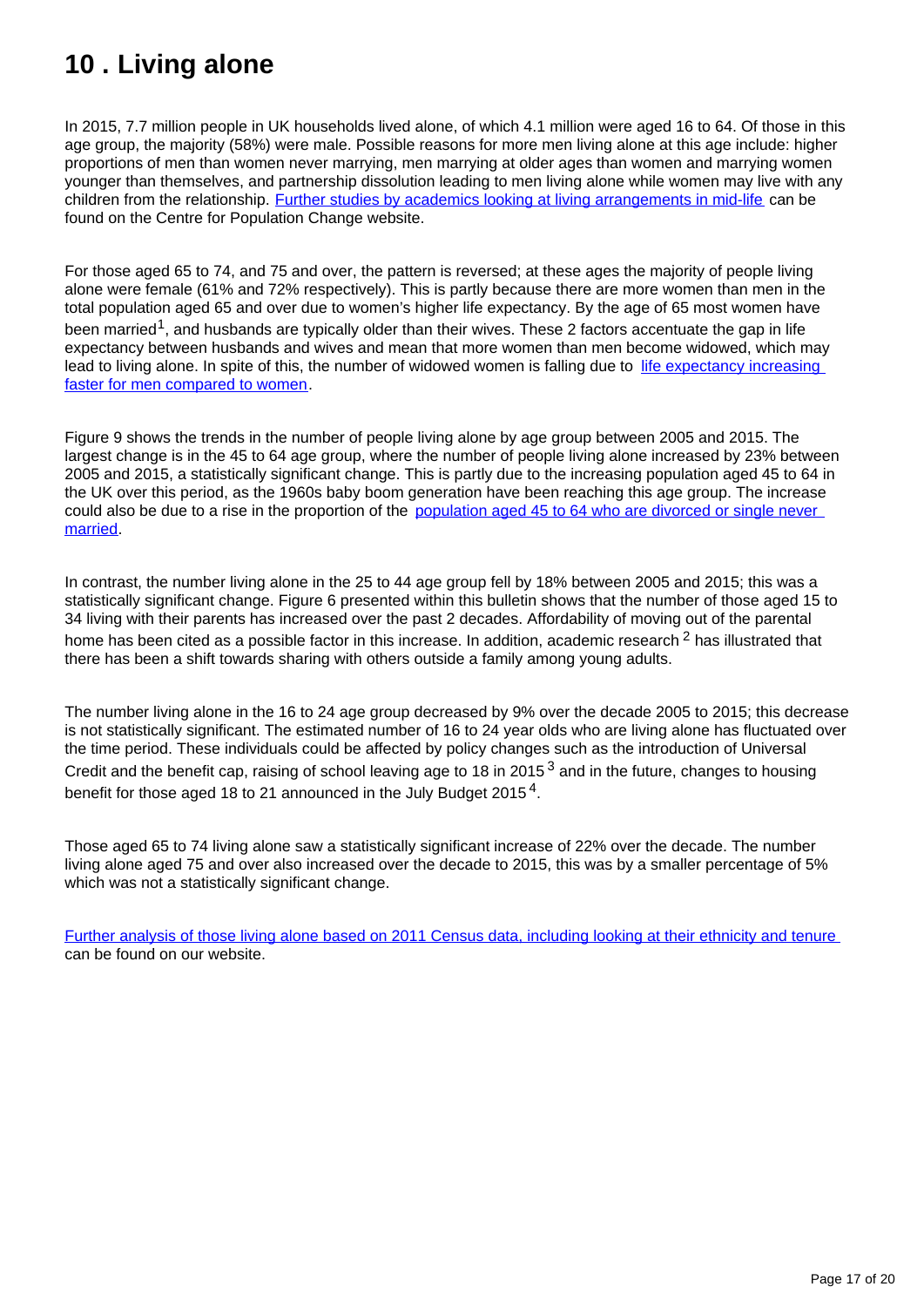## <span id="page-16-0"></span>**10 . Living alone**

In 2015, 7.7 million people in UK households lived alone, of which 4.1 million were aged 16 to 64. Of those in this age group, the majority (58%) were male. Possible reasons for more men living alone at this age include: higher proportions of men than women never marrying, men marrying at older ages than women and marrying women younger than themselves, and partnership dissolution leading to men living alone while women may live with any children from the relationship. [Further studies by academics looking at living arrangements in mid-life](http://www.cpc.ac.uk/research_programme/?link=Living_Arrangements_in_Mid-Life.php) can be found on the Centre for Population Change website.

For those aged 65 to 74, and 75 and over, the pattern is reversed; at these ages the majority of people living alone were female (61% and 72% respectively). This is partly because there are more women than men in the total population aged 65 and over due to women's higher life expectancy. By the age of 65 most women have been married<sup>1</sup>, and husbands are typically older than their wives. These 2 factors accentuate the gap in life expectancy between husbands and wives and mean that more women than men become widowed, which may lead to living alone. In spite of this, the number of widowed women is falling due to [life expectancy increasing](http://www.ons.gov.uk/ons/rel/lifetables/national-life-tables/2012-2014/index.html)  [faster for men compared to women.](http://www.ons.gov.uk/ons/rel/lifetables/national-life-tables/2012-2014/index.html)

Figure 9 shows the trends in the number of people living alone by age group between 2005 and 2015. The largest change is in the 45 to 64 age group, where the number of people living alone increased by 23% between 2005 and 2015, a statistically significant change. This is partly due to the increasing population aged 45 to 64 in the UK over this period, as the 1960s baby boom generation have been reaching this age group. The increase could also be due to a rise in the proportion of the [population aged 45 to 64 who are divorced or single never](http://www.ons.gov.uk/ons/rel/family-demography/population-estimates-by-marital-status-and-living-arrangements/england-and-wales--2002-to-2014/index.html)  [married](http://www.ons.gov.uk/ons/rel/family-demography/population-estimates-by-marital-status-and-living-arrangements/england-and-wales--2002-to-2014/index.html).

In contrast, the number living alone in the 25 to 44 age group fell by 18% between 2005 and 2015; this was a statistically significant change. Figure 6 presented within this bulletin shows that the number of those aged 15 to 34 living with their parents has increased over the past 2 decades. Affordability of moving out of the parental home has been cited as a possible factor in this increase. In addition, academic research  $2$  has illustrated that there has been a shift towards sharing with others outside a family among young adults.

The number living alone in the 16 to 24 age group decreased by 9% over the decade 2005 to 2015; this decrease is not statistically significant. The estimated number of 16 to 24 year olds who are living alone has fluctuated over the time period. These individuals could be affected by policy changes such as the introduction of Universal Credit and the benefit cap, raising of school leaving age to 18 in 2015<sup>3</sup> and in the future, changes to housing benefit for those aged 18 to 21 announced in the July Budget 2015<sup>4</sup>.

Those aged 65 to 74 living alone saw a statistically significant increase of 22% over the decade. The number living alone aged 75 and over also increased over the decade to 2015, this was by a smaller percentage of 5% which was not a statistically significant change.

[Further analysis of those living alone based on 2011 Census data, including looking at their ethnicity and tenure](http://www.ons.gov.uk/ons/rel/census/2011-census-analysis/do-the-demographic-and-socio-economic-characteristics-of-those-living-alone-in-england-and-wales-differ-from-the-general-population-/sty-living-alone-in-the-uk.html) can be found on our website.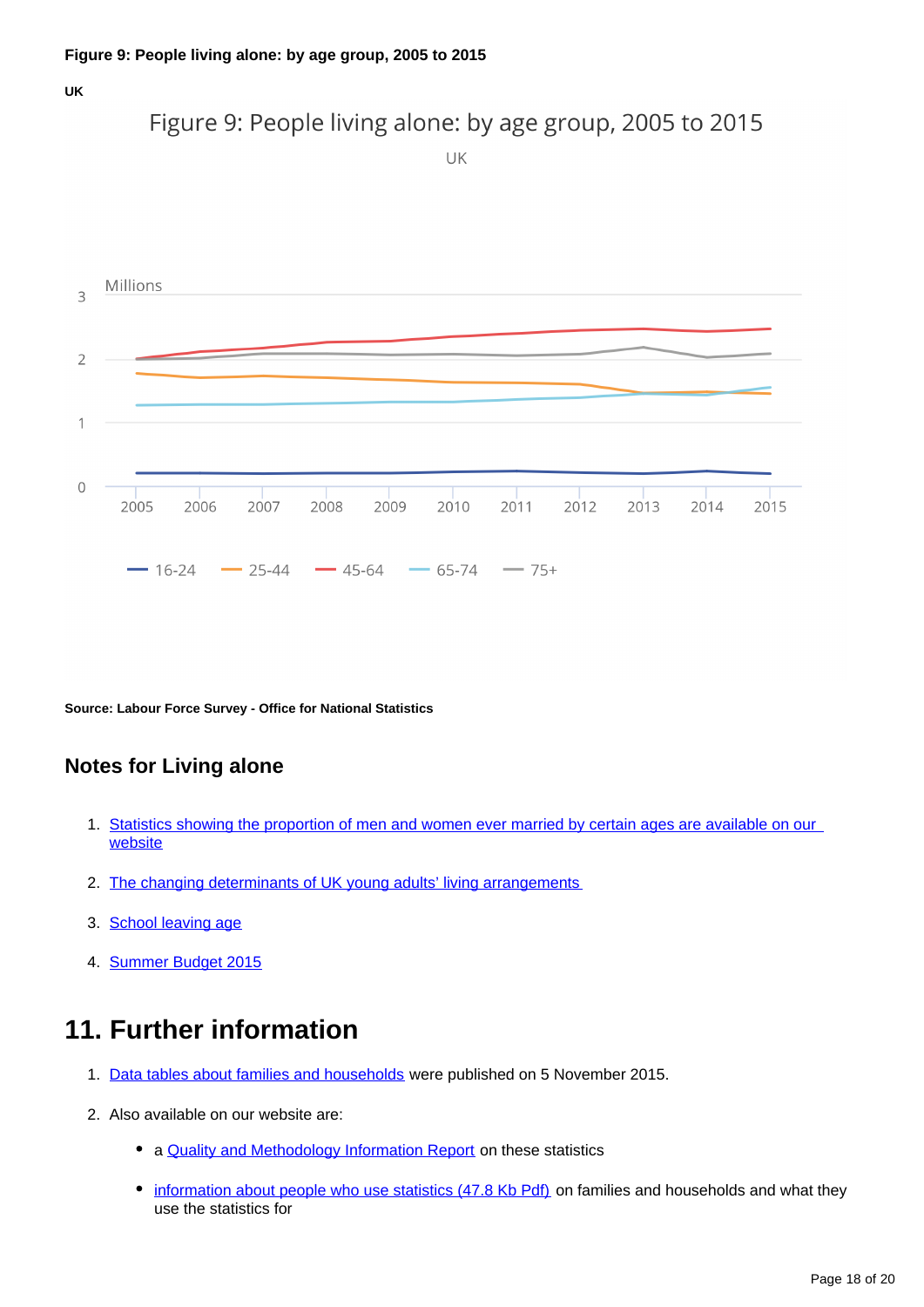



**Source: Labour Force Survey - Office for National Statistics**

### **Notes for Living alone**

- 1. [Statistics showing the proportion of men and women ever married by certain ages are available on our](http://www.ons.gov.uk/ons/rel/vsob1/marriages-in-england-and-wales--provisional-/index.html)  **[website](http://www.ons.gov.uk/ons/rel/vsob1/marriages-in-england-and-wales--provisional-/index.html)**
- 2. [The changing determinants of UK young adults' living arrangements](http://www.demographic-research.org/Volumes/Vol25/20/25-20.pdf)
- 3. **[School leaving age](https://www.gov.uk/know-when-you-can-leave-school)**
- 4. [Summer Budget 2015](https://www.gov.uk/government/topical-events/budget-july-2015)

## **11. Further information**

- 1. [Data tables about families and households](http://www.ons.gov.uk/ons/publications/re-reference-tables.html?edition=tcm%3A77-401852) were published on 5 November 2015.
- 2. Also available on our website are:
	- a **[Quality and Methodology Information Report](http://www.ons.gov.uk/ons/guide-method/method-quality/quality/quality-information/population/index.html)** on these statistics
	- [information about people who use statistics \(47.8 Kb Pdf\)](http://www.ons.gov.uk/ons/rel/family-demography/families-and-households/2001-to-2010/user-experience.pdf) on families and households and what they use the statistics for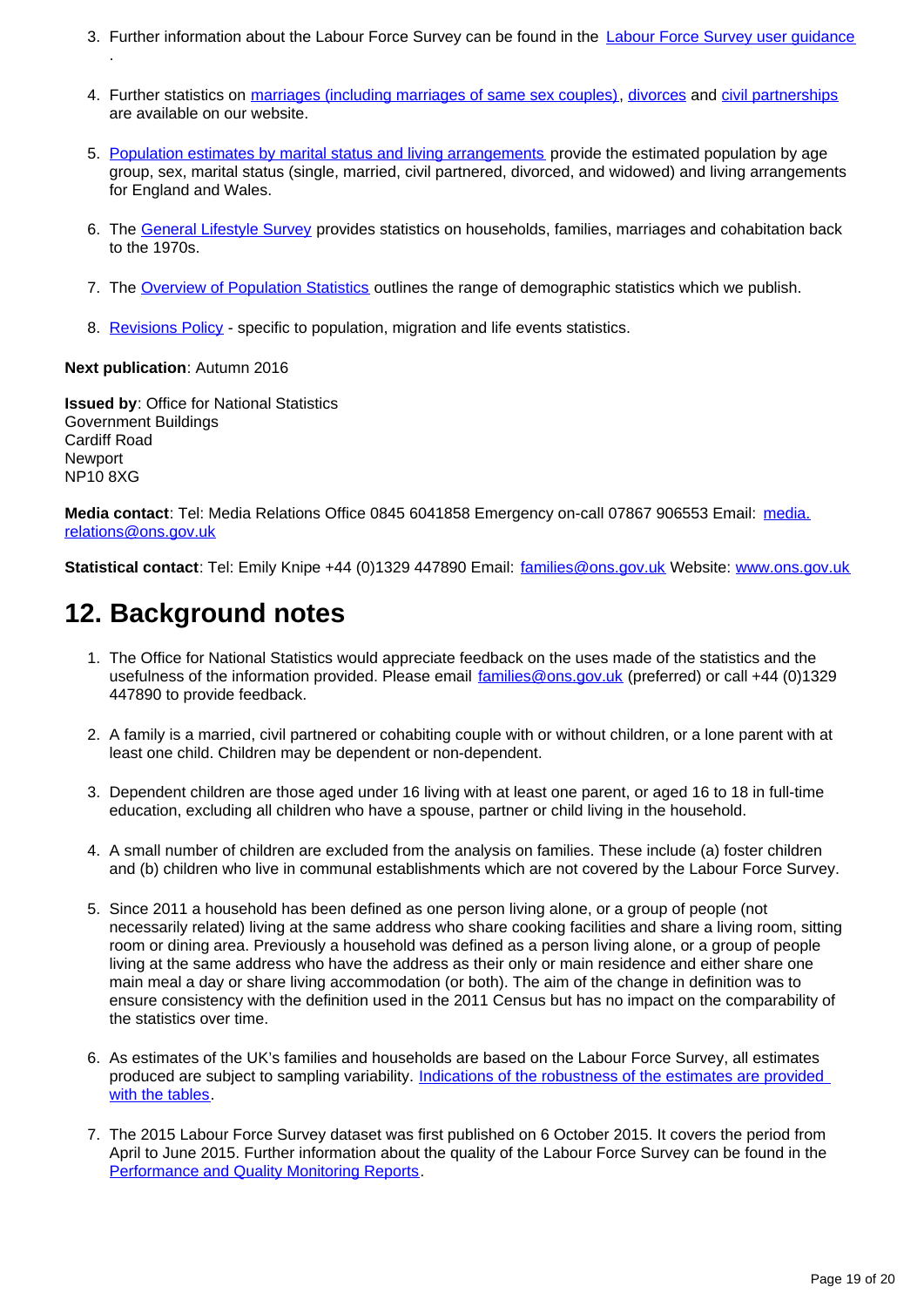- 3. Further information about the Labour Force Survey can be found in the [Labour Force Survey user guidance](http://www.ons.gov.uk/ons/guide-method/method-quality/specific/labour-market/labour-market-statistics/index.html)
- 4. Further statistics on [marriages \(including marriages of same sex couples\)](http://www.ons.gov.uk/ons/taxonomy/index.html?nscl=Marriages), [divorces](http://www.ons.gov.uk/ons/taxonomy/index.html?nscl=Divorces) and [civil partnerships](http://www.ons.gov.uk/ons/taxonomy/index.html?nscl=Civil%20Partnerships) are available on our website.
- 5. [Population estimates by marital status and living arrangements](http://www.ons.gov.uk/ons/rel/family-demography/population-estimates-by-marital-status-and-living-arrangements/index.html) provide the estimated population by age group, sex, marital status (single, married, civil partnered, divorced, and widowed) and living arrangements for England and Wales.
- 6. The Ceneral Lifestyle Survey provides statistics on households, families, marriages and cohabitation back to the 1970s.
- 7. The [Overview of Population Statistics](http://www.ons.gov.uk/ons/guide-method/method-quality/specific/population-and-migration/an-overview-of-ons-s-population-statistics/index.html) outlines the range of demographic statistics which we publish.
- 8. [Revisions Policy](http://www.ons.gov.uk/ons/guide-method/revisions/revisions-policies-by-theme/population/index.html) specific to population, migration and life events statistics.

#### **Next publication**: Autumn 2016

.

**Issued by**: Office for National Statistics Government Buildings Cardiff Road Newport NP10 8XG

**Media contact**: Tel: Media Relations Office 0845 6041858 Emergency on-call 07867 906553 Email: media. relations@ons.gov.uk

**Statistical contact**: Tel: Emily Knipe +44 (0)1329 447890 Email: families@ons.gov.uk Website: [www.ons.gov.uk](http://www.ons.gov.uk/)

### **12. Background notes**

- 1. The Office for National Statistics would appreciate feedback on the uses made of the statistics and the usefulness of the information provided. Please email families@ons.gov.uk (preferred) or call +44 (0)1329 447890 to provide feedback.
- 2. A family is a married, civil partnered or cohabiting couple with or without children, or a lone parent with at least one child. Children may be dependent or non-dependent.
- 3. Dependent children are those aged under 16 living with at least one parent, or aged 16 to 18 in full-time education, excluding all children who have a spouse, partner or child living in the household.
- 4. A small number of children are excluded from the analysis on families. These include (a) foster children and (b) children who live in communal establishments which are not covered by the Labour Force Survey.
- 5. Since 2011 a household has been defined as one person living alone, or a group of people (not necessarily related) living at the same address who share cooking facilities and share a living room, sitting room or dining area. Previously a household was defined as a person living alone, or a group of people living at the same address who have the address as their only or main residence and either share one main meal a day or share living accommodation (or both). The aim of the change in definition was to ensure consistency with the definition used in the 2011 Census but has no impact on the comparability of the statistics over time.
- 6. As estimates of the UK's families and households are based on the Labour Force Survey, all estimates produced are subject to sampling variability. [Indications of the robustness of the estimates are provided](http://www.ons.gov.uk/ons/publications/re-reference-tables.html?edition=tcm%3A77-401852)  [with the tables.](http://www.ons.gov.uk/ons/publications/re-reference-tables.html?edition=tcm%3A77-401852)
- 7. The 2015 Labour Force Survey dataset was first published on 6 October 2015. It covers the period from April to June 2015. Further information about the quality of the Labour Force Survey can be found in the [Performance and Quality Monitoring Reports.](http://www.ons.gov.uk/ons/guide-method/method-quality/specific/labour-market/labour-force-survey/index.html)